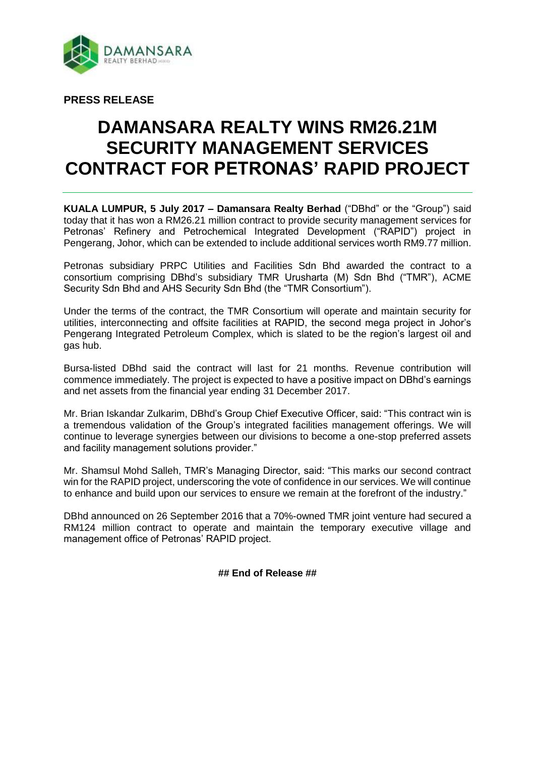

**PRESS RELEASE**

# **DAMANSARA REALTY WINS RM26.21M SECURITY MANAGEMENT SERVICES CONTRACT FOR PETRONAS' RAPID PROJECT**

**KUALA LUMPUR, 5 July 2017 – Damansara Realty Berhad** ("DBhd" or the "Group") said today that it has won a RM26.21 million contract to provide security management services for Petronas' Refinery and Petrochemical Integrated Development ("RAPID") project in Pengerang, Johor, which can be extended to include additional services worth RM9.77 million.

Petronas subsidiary PRPC Utilities and Facilities Sdn Bhd awarded the contract to a consortium comprising DBhd's subsidiary TMR Urusharta (M) Sdn Bhd ("TMR"), ACME Security Sdn Bhd and AHS Security Sdn Bhd (the "TMR Consortium").

Under the terms of the contract, the TMR Consortium will operate and maintain security for utilities, interconnecting and offsite facilities at RAPID, the second mega project in Johor's Pengerang Integrated Petroleum Complex, which is slated to be the region's largest oil and gas hub.

Bursa-listed DBhd said the contract will last for 21 months. Revenue contribution will commence immediately. The project is expected to have a positive impact on DBhd's earnings and net assets from the financial year ending 31 December 2017.

Mr. Brian Iskandar Zulkarim, DBhd's Group Chief Executive Officer, said: "This contract win is a tremendous validation of the Group's integrated facilities management offerings. We will continue to leverage synergies between our divisions to become a one-stop preferred assets and facility management solutions provider."

Mr. Shamsul Mohd Salleh, TMR's Managing Director, said: "This marks our second contract win for the RAPID project, underscoring the vote of confidence in our services. We will continue to enhance and build upon our services to ensure we remain at the forefront of the industry."

DBhd announced on 26 September 2016 that a 70%-owned TMR joint venture had secured a RM124 million contract to operate and maintain the temporary executive village and management office of Petronas' RAPID project.

## **## End of Release ##**